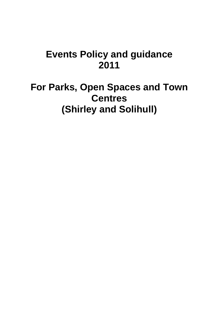# **Events Policy and guidance 2011**

**For Parks, Open Spaces and Town Centres (Shirley and Solihull)**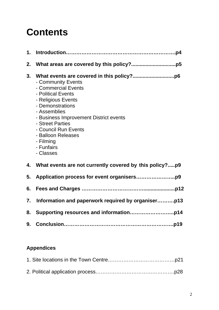# **Contents**

| 2. |                                                                                                                                                                                                                                                                               |
|----|-------------------------------------------------------------------------------------------------------------------------------------------------------------------------------------------------------------------------------------------------------------------------------|
| 3. | - Community Events<br>- Commercial Events<br>- Political Events<br>- Religious Events<br>- Demonstrations<br>- Assemblies<br>- Business Improvement District events<br>- Street Parties<br>- Council Run Events<br>- Balloon Releases<br>- Filming<br>- Funfairs<br>- Classes |
| 4. | What events are not currently covered by this policy?p9                                                                                                                                                                                                                       |
| 5. |                                                                                                                                                                                                                                                                               |
| 6. |                                                                                                                                                                                                                                                                               |
| 7. |                                                                                                                                                                                                                                                                               |
| 8. |                                                                                                                                                                                                                                                                               |
| 9. |                                                                                                                                                                                                                                                                               |

### **Appendices**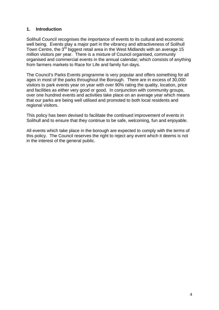#### **1. Introduction**

Solihull Council recognises the importance of events to its cultural and economic well being. Events play a major part in the vibrancy and attractiveness of Solihull Town Centre, the 3<sup>rd</sup> biggest retail area in the West Midlands with an average 15 million visitors per year. There is a mixture of Council organised, community organised and commercial events in the annual calendar; which consists of anything from farmers markets to Race for Life and family fun days.

The Council's Parks Events programme is very popular and offers something for all ages in most of the parks throughout the Borough. There are in excess of 30,000 visitors to park events year on year with over 90% rating the quality, location, price and facilities as either very good or good. In conjunction with community groups, over one hundred events and activities take place on an average year which means that our parks are being well utilised and promoted to both local residents and regional visitors.

This policy has been devised to facilitate the continued improvement of events in Solihull and to ensure that they continue to be safe, welcoming, fun and enjoyable.

All events which take place in the borough are expected to comply with the terms of this policy. The Council reserves the right to reject any event which it deems is not in the interest of the general public.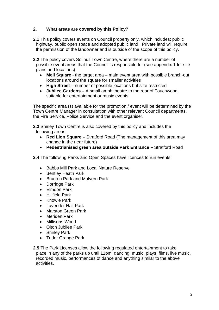#### **2. What areas are covered by this Policy?**

- **2.1** This policy covers events on Council property only, which includes: public highway, public open space and adopted public land. Private land will require the permission of the landowner and is outside of the scope of this policy.
- **2.2** The policy covers Solihull Town Centre, where there are a number of possible event areas that the Council is responsible for (see appendix 1 for site plans and locations):
	- **Mell Square**  the target area main event area with possible branch-out locations around the square for smaller activities
	- **High Street** number of possible locations but size restricted
	- **Jubilee Gardens** A small amphitheatre to the rear of Touchwood, suitable for entertainment or music events

The specific area (s) available for the promotion / event will be determined by the Town Centre Manager in consultation with other relevant Council departments, the Fire Service, Police Service and the event organiser.

**2.3** Shirley Town Centre is also covered by this policy and includes the following areas:

- **Red Lion Square** Stratford Road (The management of this area may change in the near future)
- **Pedestrianised green area outside Park Entrance** Stratford Road

**2.4** The following Parks and Open Spaces have licences to run events:

- Babbs Mill Park and Local Nature Reserve
- Bentley Heath Park
- Brueton Park and Malvern Park
- Dorridge Park
- Elmdon Park
- Hillfield Park
- Knowle Park
- Lavender Hall Park
- Marston Green Park
- Meriden Park
- Millisons Wood
- Olton Jubilee Park
- Shirley Park
- Tudor Grange Park

**2.5** The Park Licenses allow the following regulated entertainment to take place in any of the parks up until 11pm: dancing, music, plays, films, live music, recorded music, performances of dance and anything similar to the above activities.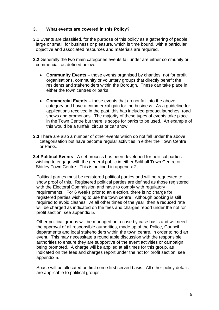#### **3. What events are covered in this Policy?**

- **3.1** Events are classified, for the purpose of this policy as a gathering of people, large or small, for business or pleasure, which is time bound, with a particular objective and associated resources and materials are required.
- **3.2** Generally the two main categories events fall under are either community or commercial, as defined below:
	- **Community Events** those events organised by charities, not for profit organisations, community or voluntary groups that directly benefit the residents and stakeholders within the Borough. These can take place in either the town centres or parks.
	- **Commercial Events** those events that do not fall into the above category and have a commercial gain for the business. As a guideline for applications received in the past, this has included product launches, road shows and promotions. The majority of these types of events take place in the Town Centre but there is scope for parks to be used. An example of this would be a funfair, circus or car show.
- **3.3** There are also a number of other events which do not fall under the above categorisation but have become regular activities in either the Town Centre or Parks.
- **3.4 Political Events** A set process has been developed for political parties wishing to engage with the general public in either Solihull Town Centre or Shirley Town Centre. This is outlined in appendix 2.

Political parties must be registered political parties and will be requested to show proof of this. Registered political parties are defined as those registered with the Electoral Commission and have to comply with regulatory requirements. For 6 weeks prior to an election, there is no charge for registered parties wishing to use the town centre. Although booking is still required to avoid clashes. At all other times of the year, then a reduced rate will be charged as indicated on the fees and charges report under the not for profit section, see appendix 5.

Other political groups will be managed on a case by case basis and will need the approval of all responsible authorities, made up of the Police, Council departments and local stakeholders within the town centre, in order to hold an event. This may necessitate a round table discussion with the responsible authorities to ensure they are supportive of the event activities or campaign being promoted. A charge will be applied at all times for this group, as indicated on the fees and charges report under the not for profit section, see appendix 5.

Space will be allocated on first come first served basis. All other policy details are applicable to political groups.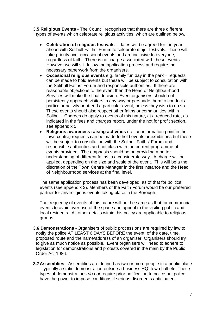- **3.5 Religious Events** The Council recognises that there are three different types of events which celebrate religious activities, which are outlined below*:* 
	- **Celebration of religious festivals** dates will be agreed for the year ahead with Solihull Faiths' Forum to celebrate major festivals. These will take priority over occasional events and are inclusive to everyone, regardless of faith. There is no charge associated with these events. However we will still follow the application process and require the necessary paperwork from the organisers.
	- **Occasional religious events** e.g. family fun day in the park requests can be made to hold events but these will be subject to consultation with the Solihull Faiths' Forum and responsible authorities. If there are reasonable objections to the event then the Head of Neighbourhood Services will make the final decision. Event organisers should not persistently approach visitors in any way or persuade them to conduct a particular activity or attend a particular event, unless they wish to do so. These events should also respect other faiths or communities within Solihull. Charges do apply to events of this nature, at a reduced rate, as indicated in the fees and charges report, under the not for profit section, see appendix 5.
	- **Religious awareness raising activities** (i.e. an information point in the town centre) requests can be made to hold events or exhibitions but these will be subject to consultation with the Solihull Faiths' Forum and responsible authorities and not clash with the current programme of events provided. The emphasis should be on providing a better understanding of different faiths in a considerate way. A charge will be applied, depending on the size and scale of the event. This will be a the discretion of the Town Centre Manager in the first instance and the Head of Neighbourhood services at the final level.

The same application process has been developed, as of that for political events (see appendix 3). Members of the Faith Forum would be our preferred partner for any religious events taking place in the Borough.

The frequency of events of this nature will be the same as that for commercial events to avoid over use of the space and appeal to the visiting public and local residents. All other details within this policy are applicable to religious groups.

- **3.6 Demonstrations -** Organisers of public processions are required by law to notify the police AT LEAST 6 DAYS BEFORE the event, of the date, time, proposed route and the name/address of an organiser. Organisers should try to give as much notice as possible. Event organisers will need to adhere to legislation for demonstrations and protests covered in the main by the Public Order Act 1986.
- **3.7 Assemblies** Assemblies are defined as two or more people in a public place - typically a static demonstration outside a business HQ, town hall etc. These types of demonstrations *do not* require prior notification to police but police have the power to impose conditions if serious disorder is anticipated.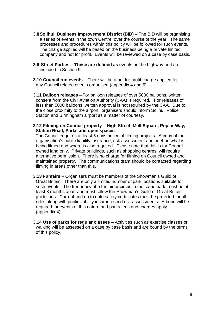- **3.8 Solihull Business Improvement District (BID)** The BID will be organising a series of events in the town Centre, over the course of the year. The same processes and procedures within this policy will be followed for such events. The charge applied will be based on the business being a private limited company and not for profit. Events will be reviewed on a case by case basis.
- **3.9 Street Parties These are defined as** events on the highway and are included in Section 9.
- **3.10 Council run events** There will be a not for profit charge applied for any Council related events organised (appendix 4 and 5).
- **3.11 Balloon releases**  For balloon releases of over 5000 balloons, written consent from the Civil Aviation Authority (CAA) is required. For releases of less than 5000 balloons, written approval is not required by the CAA. Due to the close proximity to the airport, organisers should inform Solihull Police Station and Birmingham airport as a matter of courtesy.
- **3.12 Filming on Council property High Street, Mell Square, Poplar Way, Station Road, Parks and open spaces**

 The Council requires at least 5 days notice of filming projects. A copy of the organisation's public liability insurance, risk assessment and brief on what is being filmed and where is also required. Please note that this is for Council owned land only. Private buildings, such as shopping centres, will require alternative permission. There is no charge for filming on Council owned and maintained property. The communications team should be contacted regarding filming in areas other than this.

- **3.13 Funfairs** Organisers must be members of the Showman's Guild of Great Britain. There are only a limited number of park locations suitable for such events. The frequency of a funfair or circus in the same park, must be at least 3 months apart and must follow the Showman's Guild of Great Britain guidelines. Current and up to date safety certificates must be provided for all rides along with public liability insurance and risk assessments. A bond will be required for events of this nature and parks fees and charges apply (appendix 4).
- **3.14 Use of parks for regular classes** Activities such as exercise classes or walking will be assessed on a case by case basis and are bound by the terms of this policy.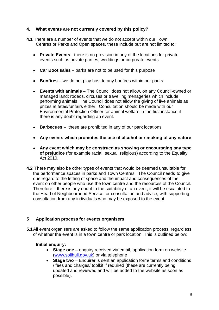#### **4. What events are not currently covered by this policy?**

- **4.1** There are a number of events that we do not accept within our Town Centres or Parks and Open spaces, these include but are not limited to:
	- • **Private Events** there is no provision in any of the locations for private events such as private parties, weddings or corporate events
	- Car Boot sales parks are not to be used for this purpose
	- **Bonfires** we do not play host to any bonfires within our parks
	- • **Events with animals –** The Council does not allow, on any Council-owned or managed land; rodeos, circuses or travelling menageries which include performing animals. The Council does not allow the giving of live animals as prizes at fetes/funfairs either. Consultation should be made with our Environmental Protection Officer for animal welfare in the first instance if there is any doubt regarding an event.
	- • **Barbecues** these are prohibited in any of our park locations
	- • **Any events which promotes the use of alcohol or smoking of any nature**
	- • **Any event which may be construed as showing or encouraging any type of prejudice** (for example racial, sexual, religious) according to the Equality Act 2010.
- **4.2** There may also be other types of events that would be deemed unsuitable for the performance spaces in parks and Town Centres. The Council needs to give due regard to the letting of space and the impact and consequences of the event on other people who use the town centre and the resources of the Council. Therefore if there is any doubt to the suitability of an event, it will be escalated to the Head of Neighbourhood Service for consultation and advice, with supporting consultation from any individuals who may be exposed to the event.

#### **5 Application process for events organisers**

**5.1** All event organisers are asked to follow the same application process, regardless of whether the event is in a town centre or park location. This is outlined below:

#### **Initial enquiry:**

- **Stage one** enquiry received via email, application form on website (www.solihull.gov.uk) or via telephone
- **Stage two** Enquirer is sent an application form/ terms and conditions / fees and charges/ toolkit if required (these are currently being updated and reviewed and will be added to the website as soon as possible).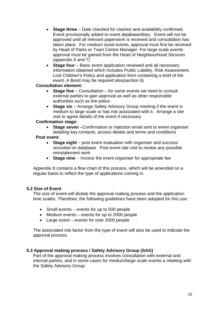- **Stage three**  Date checked for clashes and availability confirmed. Event provisionally added to event database/diary. Event will not be approved until all relevant paperwork is received and consultation has taken place. For medium sized events, approval must first be received by Head of Parks or Town Centre Manager. For large scale events approval must be gained from the Head of Neighbourhood Services (appendix 6 and 7)
- Stage four Basic event application reviewed and all necessary information obtained which includes Public Liability, Risk Assessment, Lost Children's Policy and application form containing a brief of the event. A Bond may be required also(section 6)

#### **Consultation element:**

- **Stage five** Consultation for some events we need to consult external parties to gain approval as well as other responsible authorities such as the police
- **Stage six** Arrange Safety Advisory Group meeting if the event is medium to large scale or has risk associated with it. Arrange a site visit to agree details of the event if necessary

#### **Confirmation stage:**

**Stage seven** –Confirmation or rejection email sent to event organiser detailing key contacts, access details and terms and conditions

#### **Post event:**

- **Stage eight** post event evaluation with organiser and success recorded on database. Post event site visit to review any possible reinstatement work
- **Stage nine** Invoice the event organiser for appropriate fee

Appendix 8 contains a flow chart of this process, which will be amended on a regular basis to reflect the type of applications coming in.

#### **5.2 Size of Event**

The size of event will dictate the approval making process and the application time scales. Therefore, the following guidelines have been adopted for this use:

- Small events events for up to 500 people
- Medium events events for up to 2000 people
- Large event events for over 2000 people

The associated risk factor from the type of event will also be used to indicate the approval process.

#### **5.3 Approval making process / Safety Advisory Group (SAG)**

Part of the approval making process involves consultation with external and internal parties, and in some cases for medium/large scale events a meeting with the Safety Advisory Group.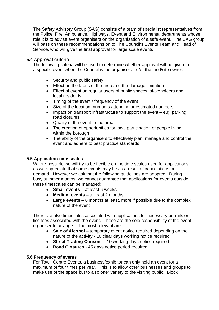The Safety Advisory Group (SAG) consists of a team of specialist representatives from the Police, Fire, Ambulance, Highways, Event and Environmental departments whose role it is to advise event organisers on the organisation of a safe event. The SAG group will pass on these recommendations on to The Council's Events Team and Head of Service, who will give the final approval for large scale events.

#### **5.4 Approval criteria**

The following criteria will be used to determine whether approval will be given to a specific event when the Council is the organiser and/or the land/site owner:

- Security and public safety
- Effect on the fabric of the area and the damage limitation
- Effect of event on regular users of public spaces, stakeholders and local residents
- Timing of the event / frequency of the event
- Size of the location, numbers attending or estimated numbers
- Impact on transport infrastructure to support the event e.g. parking, road closures
- Quality of the event to the area
- The creation of opportunities for local participation of people living within the borough
- The ability of the organisers to effectively plan, manage and control the event and adhere to best practice standards

#### **5.5 Application time scales**

Where possible we will try to be flexible on the time scales used for applications as we appreciate that some events may be as a result of cancelations or demand. However we ask that the following guidelines are adopted. During busy summer months, we cannot guarantee that applications for events outside these timescales can be managed:

- **Small events** at least 6 weeks
- **Medium events** at least 2 months
- **Large events** 6 months at least, more if possible due to the complex nature of the event

There are also timescales associated with applications for necessary permits or licenses associated with the event. These are the sole responsibility of the event organiser to arrange. The most relevant are:

- **Sale of Alcohol** temporary event notice required depending on the nature of the activity - 10 clear days working notice required
- **Street Trading Consent** 10 working days notice required
- **Road Closures** 45 days notice period required

#### **5.6 Frequency of events**

For Town Centre Events, a business/exhibitor can only hold an event for a maximum of four times per year. This is to allow other businesses and groups to make use of the space but to also offer variety to the visiting public. Block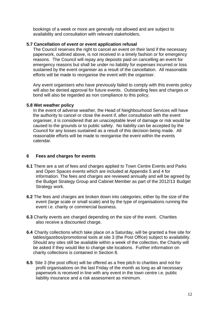bookings of a week or more are generally not allowed and are subject to availability and consultation with relevant stakeholders.

#### **5.7 Cancellation of event or event application refusal**

The Council reserves the right to cancel an event on their land if the necessary paperwork, outlined above, is not received in a timely fashion or for emergency reasons. The Council will repay any deposits paid on cancelling an event for emergency reasons but shall be under no liability for expenses incurred or loss sustained by the event organiser as a result of the cancellation. All reasonable efforts will be made to reorganise the event with the organiser.

Any event organisers who have previously failed to comply with this events policy will also be denied approval for future events. Outstanding fees and charges or bond will also be regarded as non compliance to this policy.

#### **5.8 Wet weather policy**

In the event of adverse weather, the Head of Neighbourhood Services will have the authority to cancel or close the event if, after consultation with the event organiser, it is considered that an unacceptable level of damage or risk would be caused to the grounds or to public safety. No liability can be accepted by the Council for any losses sustained as a result of this decision being made. All reasonable efforts will be made to reorganise the event within the events calendar.

#### **6 Fees and charges for events**

- **6.1** There are a set of fees and charges applied to Town Centre Events and Parks and Open Spaces events which are included at Appendix 5 and 4 for information. The fees and charges are reviewed annually and will be agreed by the Budget Strategy Group and Cabinet Member as part of the 2012/13 Budget Strategy work.
- **6.2** The fees and charges are broken down into categories; either by the size of the event (large scale or small scale) and by the type of organisations running the event i.e. charity or commercial business.
- **6.3** Charity events are charged depending on the size of the event. Charities also receive a discounted charge.
- **6.4** Charity collections which take place on a Saturday, will be granted a free site for tables/gazebos/promotional tools at site 3 (the Post Office) subject to availability. Should any sites still be available within a week of the collection, the Charity will be asked if they would like to change site locations. Further information on charity collections is contained in Section 8.
- **6.5** Site 3 (the post office) will be offered as a free pitch to charities and not for profit organisations on the last Friday of the month as long as all necessary paperwork is received in line with any event in the town centre i.e. public liability insurance and a risk assessment as minimum.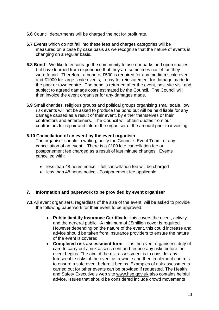- **6.6** Council departments will be charged the not for profit rate.
- **6.7** Events which do not fall into these fees and charges categories will be measured on a case by case basis as we recognise that the nature of events is changing on a regular basis.
- **6.8 Bond** We like to encourage the community to use our parks and open spaces, but have learned from experience that they are sometimes not left as they were found. Therefore, a bond of £500 is required for any medium scale event and £1000 for large scale events, to pay for reinstatement for damage made to the park or town centre. The bond is returned after the event, post site visit and subject to agreed damage costs estimated by the Council. The Council will then invoice the event organiser for any damages made.
- **6.9** Small charities, religious groups and political groups organising small scale, low risk events will not be asked to produce the bond but will be held liable for any damage caused as a result of their event, by either themselves or their contractors and entertainers. The Council will obtain quotes from our contractors for repair and inform the organiser of the amount prior to invoicing.

#### **6.10 Cancellation of an event by the event organiser**

 The organiser should in writing, notify the Council's Event Team, of any cancellation of an event. There is a £100 late cancellation fee or postponement fee charged as a result of last minute changes. Events cancelled with:

- less than 48 hours notice full cancellation fee will be charged
- less than 48 hours notice Postponement fee applicable

#### **7. Information and paperwork to be provided by event organiser**

- **7.1** All event organisers, regardless of the size of the event, will be asked to provide the following paperwork for their event to be approved:
	- **Public liability Insurance Certificate** this covers the event, activity and the general public. A minimum of £5million cover is required. However depending on the nature of the event, this could increase and advice should be taken from Insurance providers to ensure the nature of the event is covered
	- **Completed risk assessment form** It is the event organiser's duty of care to carry out a risk assessment and reduce any risks before the event begins. The aim of the risk assessment is to consider any foreseeable risks of the event as a whole and then implement controls to ensure a safe event before it begins. Examples of risk assessments carried out for other events can be provided if requested. The Health and Safety Executive's web site www.hse.gov.uk also contains helpful advice. Issues that should be considered include crowd movements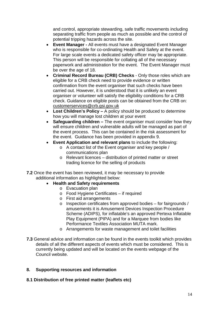and control, appropriate stewarding, safe traffic movements including separating traffic from people as much as possible and the control of potential tripping hazards across the site.

- **Event Manager** All events must have a designated Event Manager who is responsible for co-ordinating Health and Safety at the event. For large scale events a dedicated safety officer may be appropriate. This person will be responsible for collating all of the necessary paperwork and administration for the event. The Event Manager must be over the age of 18.
- **Criminal Record Bureau (CRB) Checks** Only those roles which are eligible for a CRB check need to provide evidence or written confirmation from the event organiser that such checks have been carried out. However, it is understood that it is unlikely an event organiser or volunteer will satisfy the eligibility conditions for a CRB check. Guidance on eligible posts can be obtained from the CRB on: customerservices@crb.gsi.gov.uk
- **Lost Children's Policy** A policy should be produced to determine how you will manage lost children at your event
- **Safeguarding children –** The event organiser must consider how they will ensure children and vulnerable adults will be managed as part of the event process. This can be contained in the risk assessment for the event. Guidance has been provided in appendix 9.
- **Event Application and relevant plans** to include the following:
	- o A contact list of the Event organiser and key people / communications plan
	- o Relevant licences distribution of printed matter or street trading licence for the selling of products
- **7.2** Once the event has been reviewed, it may be necessary to provide additional information as highlighted below:
	- **Health and Safety requirements**
		- o Evacuation plan
		- o Food Hygiene Certificates if required
		- o First aid arrangements
		- o Inspection certificates from approved bodies for fairgrounds / amusements it is Amusement Devices Inspection Procedure Scheme (ADIPS), for inflatable's an approved Pertexa Inflatable Play Equipment (PIPA) and for a Marquee from bodies like Performance Textiles Association MUTA mark.
		- o Arrangements for waste management and toilet facilities
- **7.3** General advice and information can be found in the events toolkit which provides details of all the different aspects of events which must be considered. This is currently being updated and will be located on the events webpage of the Council website.

#### **8. Supporting resources and information**

#### **8.1 Distribution of free printed matter (leaflets etc)**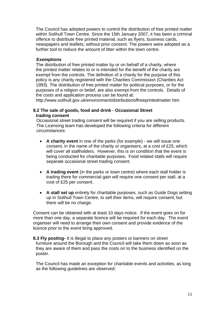The Council has adopted powers to control the distribution of free printed matter within Solihull Town Centre. Since the 15th January 2007, it has been a criminal offence to distribute free printed material, such as flyers, business cards, newspapers and leaflets, without prior consent. The powers were adopted as a further tool to reduce the amount of litter within the town centre.

#### **Exemptions**

 The distribution of free printed matter by or on behalf of a charity, where the printed matter relates to or is intended for the benefit of the charity are exempt from the controls. The definition of a charity for the purpose of this policy is any charity registered with the Charities Commission (Charities Act 1993). The distribution of free printed matter for political purposes, or for the purposes of a religion or belief, are also exempt from the controls. Details of the costs and application process can be found at:

http://www.solihull.gov.uk/environment/distributionoffreeprintedmatter.htm

#### **8.2 The sale of goods, food and drink - Occasional Street trading consent**

Occasional street trading consent will be required if you are selling products. The Licensing team has developed the following criteria for different circumstances:

- **A charity event** in one of the parks (for example) we will issue one consent, in the name of the charity or organisers, at a cost of £25, which will cover all stallholders. However, this is on condition that the event is being conducted for charitable purposes**.** Food related stalls will require separate occasional street trading consent.
- **A trading event** (in the parks or town centre) where each stall holder is trading there for commercial gain will require one consent per stall, at a cost of £25 per consent.
- **A stall set up** entirely for charitable purposes, such as Guide Dogs setting up in Solihull Town Centre, to sell their items, will require consent, but there will be no charge.

Consent can be obtained with at least 10 days notice. If the event goes on for more than one day, a separate licence will be required for each day. The event organiser will need to arrange their own consent and provide evidence of the licence prior to the event bring approved.

**8.3 Fly posting-** It is illegal to place any posters or banners on street furniture around the Borough and the Council will take them down as soon as they are aware of them and pass the costs on to the business identified on the poster.

 The Council has made an exception for charitable events and activities, as long as the following guidelines are observed: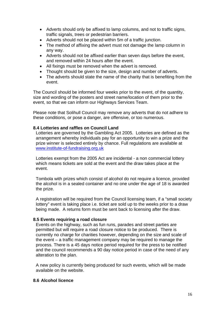- Adverts should only be affixed to lamp columns, and not to traffic signs, traffic signals, trees or pedestrian barriers.
- Adverts should not be placed within 5m of a traffic junction.
- The method of affixing the advert must not damage the lamp column in any way.
- Adverts should not be affixed earlier than seven days before the event, and removed within 24 hours after the event.
- All fixings must be removed when the advert is removed.
- Thought should be given to the size, design and number of adverts.
- The adverts should state the name of the charity that is benefiting from the event.

The Council should be informed four weeks prior to the event, of the quantity, size and wording of the posters and street name/location of them prior to the event, so that we can inform our Highways Services Team.

Please note that Solihull Council may remove any adverts that do not adhere to these conditions, or pose a danger, are offensive, or too numerous.

#### **8.4 Lotteries and raffles on Council Land**

 Lotteries are governed by the Gambling Act 2005. Lotteries are defined as the arrangement whereby individuals pay for an opportunity to win a prize and the prize winner is selected entirely by chance. Full regulations are available at www.institute-of-fundraising.org.uk

 Lotteries exempt from the 2005 Act are incidental - a non commercial lottery which means tickets are sold at the event and the draw takes place at the event.

 Tombola with prizes which consist of alcohol do not require a licence, provided the alcohol is in a sealed container and no one under the age of 18 is awarded the prize.

 A registration will be required from the Council licensing team, if a "small society lottery" event is taking place i.e. ticket are sold up to the weeks prior to a draw being made. A returns form must be sent back to licensing after the draw.

#### **8.5 Events requiring a road closure**

 Events on the highway, such as fun runs, parades and street parties are permitted but will require a road closure notice to be produced. There is currently no charge for charities however, depending on the size and scale of the event – a traffic management company may be required to manage the process. There is a 45 days notice period required for the press to be notified and the council recommends a 90 day notice period in case of the need of any alteration to the plan.

 A new policy is currently being produced for such events, which will be made available on the website.

#### **8.6 Alcohol licence**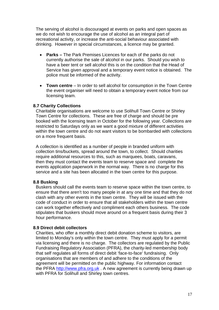The serving of alcohol is discouraged at events on parks and open spaces as we do not wish to encourage the use of alcohol as an integral part of recreational activity, or increase the anti-social behaviour associated with drinking. However in special circumstances, a licence may be granted.

- **Parks** The Park Premises Licences for each of the parks do not currently authorise the sale of alcohol in our parks. Should you wish to have a beer tent or sell alcohol this is on the condition that the Head of Service has given approval and a temporary event notice is obtained. The police must be informed of the activity.
- **Town centre** In order to sell alcohol for consumption in the Town Centre the event organiser will need to obtain a temporary event notice from our licensing team.

#### **8.7 Charity Collections**

 Charitable organisations are welcome to use Solihull Town Centre or Shirley Town Centre for collections. These are free of charge and should be pre booked with the licensing team in October for the following year. Collections are restricted to Saturdays only as we want a good mixture of different activities within the town centre and do not want visitors to be bombarded with collections on a more frequent basis.

 A collection is identified as a number of people in branded uniform with collection tins/buckets, spread around the town, to collect. Should charities require additional resources to this, such as marquees, boats, caravans, then they must contact the events team to reserve space and complete the events application paperwork in the normal way. There is no charge for this service and a site has been allocated in the town centre for this purpose.

#### **8.8 Busking**

 Buskers should call the events team to reserve space within the town centre, to ensure that there aren't too many people in at any one time and that they do not clash with any other events in the town centre. They will be issued with the code of conduct in order to ensure that all stakeholders within the town centre can work together effectively and compliment each others business. The code stipulates that buskers should move around on a frequent basis during their 3 hour performance.

#### **8.9 Direct debit collectors**

 Charities, who offer a monthly direct debit donation scheme to visitors, are limited to Monday's only within the town centre. They must apply for a permit via licensing and there is no charge. The collectors are regulated by the Public Fundraising Regulatory Association (PFRA), the charity-led membership body that self regulates all forms of direct debit 'face-to-face' fundraising. Only organisations that are members of and adhere to the conditions of the agreement will be permitted on the public highway. For information contact the PFRA http://www.pfra.org.uk . A new agreement is currently being drawn up with PFRA for Solihull and Shirley town centres.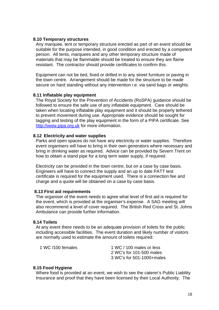#### **8.10 Temporary structures**

 Any marquee, tent or temporary structure erected as part of an event should be suitable for the purpose intended, in good condition and erected by a competent person. All tents, marquees and any other temporary structure made of materials that may be flammable should be treated to ensure they are flame resistant. The contractor should provide certificates to confirm this.

 Equipment can not be tied, fixed or drilled in to any street furniture or paving in the town centre. Arrangement should be made for the structure to be made secure on hard standing without any intervention i.e. via sand bags or weights.

#### **8.11 Inflatable play equipment**

 The Royal Society for the Prevention of Accidents (RoSPA) guidance should be followed to ensure the safe use of any inflatable equipment. Care should be taken when locating inflatable play equipment and it should be properly tethered to prevent movement during use. Appropriate evidence should be sought for tagging and testing of the play equipment in the form of a PIPA certificate. See http://www.pipa.org.uk for more information.

#### **8.12 Electricity and water supplies**

 Parks and open spaces do not have any electricity or water supplies. Therefore event organisers will have to bring in their own generators where necessary and bring in drinking water as required. Advice can be provided by Severn Trent on how to obtain a stand pipe for a long term water supply, if required.

 Electricity can be provided in the town centre, but on a case by case basis. Engineers will have to connect the supply and an up to date PATT test certificate is required for the equipment used. There is a connection fee and charge and a quote will be obtained on a case by case basis.

#### **8.13 First aid requirements**

 The organiser of the event needs to agree what level of first aid is required for the event, which is provided at the organiser's expense. A SAG meeting will also recommend a level of cover required. The British Red Cross and St. Johns Ambulance can provide further information.

#### **8.14 Toilets**

 At any event there needs to be an adequate provision of toilets for the public including accessible facilities. The event duration and likely number of visitors are normally used to estimate the amount of toilets required:

| 1 WC /100 females | 1 WC / 100 males or less  |
|-------------------|---------------------------|
|                   | 2 WC's for 101-500 males  |
|                   | 3 WC's for 501-1000+males |

#### **8.15 Food Hygiene**

 Where food is provided at an event, we wish to see the caterer's Public Liability Insurance and proof that they have been licensed by their Local Authority. The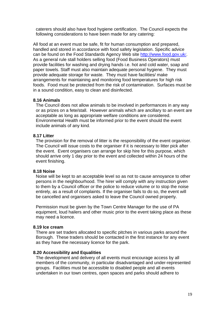caterers should also have food hygiene certification. The Council expects the following considerations to have been made for any catering:

All food at an event must be safe, fit for human consumption and prepared, handled and stored in accordance with food safety legislation. Specific advice can be found on the Food Standards Agency Web site http://www.food.gov.uk/. As a general rule stall holders selling food (Food Business Operators) must provide facilities for washing and drying hands i.e. hot and cold water, soap and paper towels. Staff must also maintain adequate personal hygiene. They must provide adequate storage for waste. They must have facilities/ make arrangements for maintaining and monitoring food temperatures for high risk foods. Food must be protected from the risk of contamination. Surfaces must be in a sound condition, easy to clean and disinfected.

#### **8.16 Animals**

 The Council does not allow animals to be involved in performances in any way or as prizes on a fete/stall. However animals which are ancillary to an event are acceptable as long as appropriate welfare conditions are considered. Environmental Health must be informed prior to the event should the event include animals of any kind.

#### **8.17 Litter**

 The provision for the removal of litter is the responsibility of the event organiser. The Council will issue costs to the organiser if it is necessary to litter pick after the event. Event organisers can arrange for skip hire for this purpose, which should arrive only 1 day prior to the event and collected within 24 hours of the event finishing.

#### **8.18 Noise**

 Noise will be kept to an acceptable level so as not to cause annoyance to other persons in the neighbourhood. The hirer will comply with any instruction given to them by a Council officer or the police to reduce volume or to stop the noise entirely, as a result of complaints. If the organiser fails to do so, the event will be cancelled and organisers asked to leave the Council owned property.

 Permission must be given by the Town Centre Manager for the use of PA equipment, loud hailers and other music prior to the event taking place as these may need a licence.

#### **8.19 Ice cream**

 There are set traders allocated to specific pitches in various parks around the Borough. These traders should be contacted in the first instance for any event as they have the necessary licence for the park.

#### **8.20 Accessibility and Equalities**

 The development and delivery of all events must encourage access by all members of the community, in particular disadvantaged and under-represented groups. Facilities must be accessible to disabled people and all events undertaken in our town centres, open spaces and parks should adhere to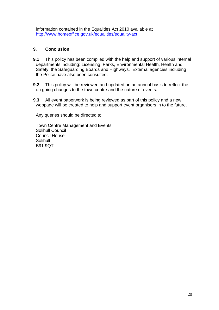information contained in the Equalities Act 2010 available at http://www.homeoffice.gov.uk/equalities/equality-act

#### **9. Conclusion**

- **9.1** This policy has been compiled with the help and support of various internal departments including: Licensing, Parks, Environmental Health, Health and Safety, the Safeguarding Boards and Highways. External agencies including the Police have also been consulted.
- **9.2** This policy will be reviewed and updated on an annual basis to reflect the on going changes to the town centre and the nature of events.
- **9.3** All event paperwork is being reviewed as part of this policy and a new webpage will be created to help and support event organisers in to the future.

Any queries should be directed to:

 Town Centre Management and Events Solihull Council Council House Solihull B91 9QT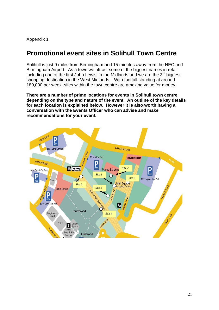### **Promotional event sites in Solihull Town Centre**

Solihull is just 9 miles from Birmingham and 15 minutes away from the NEC and Birmingham Airport. As a town we attract some of the biggest names in retail including one of the first John Lewis' in the Midlands and we are the  $3<sup>rd</sup>$  biggest shopping destination in the West Midlands. With footfall standing at around 180,000 per week, sites within the town centre are amazing value for money.

**There are a number of prime locations for events in Solihull town centre, depending on the type and nature of the event. An outline of the key details for each location is explained below. However it is also worth having a conversation with the Events Officer who can advise and make recommendations for your event.** 

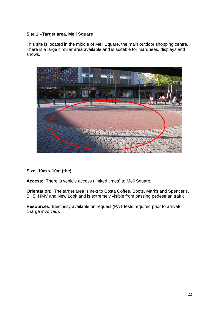#### **Site 1 –Target area, Mell Square**

This site is located in the middle of Mell Square, the main outdoor shopping centre. There is a large circular area available and is suitable for marquees, displays and shows.



**Size: 10m x 10m (tbc)** 

**Access:** There is vehicle access (limited times) to Mell Square**.**

**Orientation:** The target area is next to Costa Coffee, Boots, Marks and Spencer's, BHS, HMV and New Look and is extremely visible from passing pedestrian traffic.

**Resources:** Electricity available on request (PAT tests required prior to arrival/ charge involved).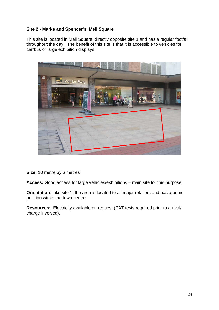#### **Site 2 - Marks and Spencer's, Mell Square**

This site is located in Mell Square, directly opposite site 1 and has a regular footfall throughout the day. The benefit of this site is that it is accessible to vehicles for car/bus or large exhibition displays.



**Size:** 10 metre by 6 metres

**Access:** Good access for large vehicles/exhibitions – main site for this purpose

**Orientation**: Like site 1, the area is located to all major retailers and has a prime position within the town centre

**Resources:** Electricity available on request (PAT tests required prior to arrival/ charge involved).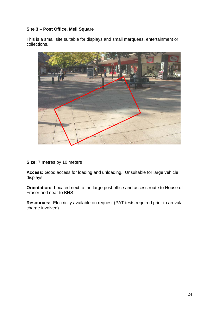#### **Site 3 – Post Office, Mell Square**

This is a small site suitable for displays and small marquees, entertainment or collections.



**Size:** 7 metres by 10 meters

**Access:** Good access for loading and unloading. Unsuitable for large vehicle displays

**Orientation:** Located next to the large post office and access route to House of Fraser and near to BHS

**Resources:** Electricity available on request (PAT tests required prior to arrival/ charge involved).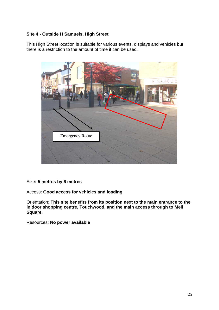#### **Site 4 - Outside H Samuels, High Street**

This High Street location is suitable for various events, displays and vehicles but there is a restriction to the amount of time it can be used.



#### Size**: 5 metres by 6 metres**

Access: **Good access for vehicles and loading** 

Orientation: **This site benefits from its position next to the main entrance to the in door shopping centre, Touchwood, and the main access through to Mell Square.** 

Resources: **No power available**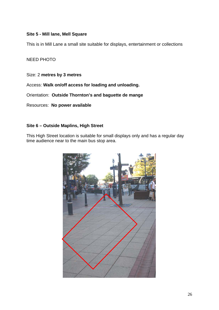#### **Site 5 - Mill lane, Mell Square**

This is in Mill Lane a small site suitable for displays, entertainment or collections

#### NEED PHOTO

Size: 2 **metres by 3 metres**

Access: **Walk on/off access for loading and unloading.** 

Orientation: **Outside Thornton's and baguette de mange** 

Resources: **No power available**

#### **Site 6 – Outside Maplins, High Street**

This High Street location is suitable for small displays only and has a regular day time audience near to the main bus stop area.

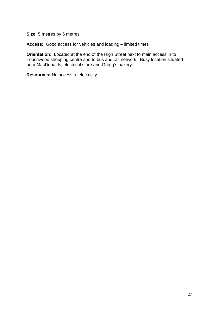**Size:** 5 metres by 6 metres

**Access:** Good access for vehicles and loading – limited times

**Orientation:** Located at the end of the High Street next to main access in to Touchwood shopping centre and to bus and rail network. Busy location situated near MacDonalds, electrical store and Gregg's bakery.

**Resources:** No access to electricity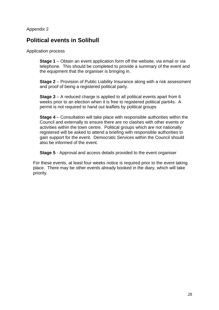### **Political events in Solihull**

Application process

**Stage 1** – Obtain an event application form off the website, via email or via telephone. This should be completed to provide a summary of the event and the equipment that the organiser is bringing in.

**Stage 2** – Provision of Public Liability Insurance along with a risk assessment and proof of being a registered political party.

**Stage 3** – A reduced charge is applied to all political events apart from 6 weeks prior to an election when it is free to registered political parti4s. A permit is not required to hand out leaflets by political groups

**Stage 4** – Consultation will take place with responsible authorities within the Council and externally to ensure there are no clashes with other events or activities within the town centre. Political groups which are not nationally registered will be asked to attend a briefing with responsible authorities to gain support for the event. Democratic Services within the Council should also be informed of the event.

**Stage 5** - Approval and access details provided to the event organiser

For these events, at least four weeks notice is required prior to the event taking place. There may be other events already booked in the diary, which will take priority.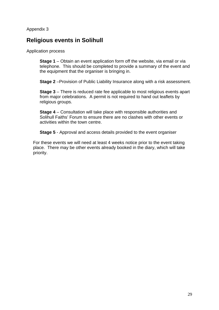### **Religious events in Solihull**

Application process

**Stage 1** – Obtain an event application form off the website, via email or via telephone. This should be completed to provide a summary of the event and the equipment that the organiser is bringing in.

**Stage 2** –Provision of Public Liability Insurance along with a risk assessment.

**Stage 3** – There is reduced rate fee applicable to most religious events apart from major celebrations. A permit is not required to hand out leaflets by religious groups.

**Stage 4** – Consultation will take place with responsible authorities and Solihull Faiths' Forum to ensure there are no clashes with other events or activities within the town centre.

**Stage 5** - Approval and access details provided to the event organiser

For these events we will need at least 4 weeks notice prior to the event taking place. There may be other events already booked in the diary, which will take priority.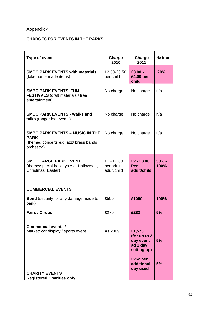#### **CHARGES FOR EVENTS IN THE PARKS**

| <b>SMBC PARK EVENTS with materials</b><br>$£3.00 -$<br>20%<br>£2.50-£3.50<br>(take home made items)<br>per child<br>£4.00 per<br>child<br><b>SMBC PARK EVENTS FUN</b><br>No charge<br>No charge<br>n/a<br><b>FESTIVALS</b> (craft materials / free<br>entertainment)<br><b>SMBC PARK EVENTS - Walks and</b><br>No charge<br>No charge<br>n/a<br>talks (ranger led events)<br><b>SMBC PARK EVENTS - MUSIC IN THE</b><br>No charge<br>No charge<br>n/a<br><b>PARK</b><br>(themed concerts e.g jazz/ brass bands,<br>orchestra)<br><b>SMBC LARGE PARK EVENT</b><br>$£1 - £2.00$<br>$£2 - £3.00$<br>50% -<br>per adult<br>Per<br>100%<br>(theme/special holidays e.g. Halloween,<br>Christmas, Easter)<br>adult/child<br>adult/child<br><b>COMMERCIAL EVENTS</b><br><b>Bond</b> (security for any damage made to<br>£500<br>£1000<br>100%<br>park)<br>5%<br><b>Fairs / Circus</b><br>£270<br>£283<br><b>Commercial events *</b><br>As 2009<br>Market/ car display / sports event<br>£1,575<br>(for up to 2)<br>day event<br>5%<br>ad 1 day<br>setting up)<br>£262 per<br>additional<br>5% | <b>Type of event</b> | Charge<br>2010 | Charge<br>2011 | $%$ incr |
|---------------------------------------------------------------------------------------------------------------------------------------------------------------------------------------------------------------------------------------------------------------------------------------------------------------------------------------------------------------------------------------------------------------------------------------------------------------------------------------------------------------------------------------------------------------------------------------------------------------------------------------------------------------------------------------------------------------------------------------------------------------------------------------------------------------------------------------------------------------------------------------------------------------------------------------------------------------------------------------------------------------------------------------------------------------------------------------|----------------------|----------------|----------------|----------|
|                                                                                                                                                                                                                                                                                                                                                                                                                                                                                                                                                                                                                                                                                                                                                                                                                                                                                                                                                                                                                                                                                       |                      |                |                |          |
|                                                                                                                                                                                                                                                                                                                                                                                                                                                                                                                                                                                                                                                                                                                                                                                                                                                                                                                                                                                                                                                                                       |                      |                |                |          |
|                                                                                                                                                                                                                                                                                                                                                                                                                                                                                                                                                                                                                                                                                                                                                                                                                                                                                                                                                                                                                                                                                       |                      |                |                |          |
|                                                                                                                                                                                                                                                                                                                                                                                                                                                                                                                                                                                                                                                                                                                                                                                                                                                                                                                                                                                                                                                                                       |                      |                |                |          |
|                                                                                                                                                                                                                                                                                                                                                                                                                                                                                                                                                                                                                                                                                                                                                                                                                                                                                                                                                                                                                                                                                       |                      |                |                |          |
|                                                                                                                                                                                                                                                                                                                                                                                                                                                                                                                                                                                                                                                                                                                                                                                                                                                                                                                                                                                                                                                                                       |                      |                |                |          |
|                                                                                                                                                                                                                                                                                                                                                                                                                                                                                                                                                                                                                                                                                                                                                                                                                                                                                                                                                                                                                                                                                       |                      |                |                |          |
|                                                                                                                                                                                                                                                                                                                                                                                                                                                                                                                                                                                                                                                                                                                                                                                                                                                                                                                                                                                                                                                                                       |                      |                |                |          |
|                                                                                                                                                                                                                                                                                                                                                                                                                                                                                                                                                                                                                                                                                                                                                                                                                                                                                                                                                                                                                                                                                       |                      |                |                |          |
| day used<br><b>CHARITY EVENTS</b><br><b>Registered Charities only</b>                                                                                                                                                                                                                                                                                                                                                                                                                                                                                                                                                                                                                                                                                                                                                                                                                                                                                                                                                                                                                 |                      |                |                |          |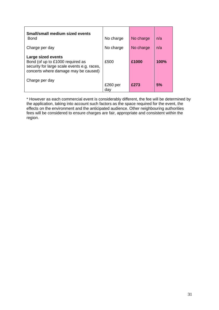| Small/small medium sized events<br>Bond                                                                                                       | No charge         | No charge | n/a         |
|-----------------------------------------------------------------------------------------------------------------------------------------------|-------------------|-----------|-------------|
| Charge per day                                                                                                                                | No charge         | No charge | n/a         |
| Large sized events<br>Bond (of up to £1000 required as<br>security for large scale events e.g. races,<br>concerts where damage may be caused) | £500              | £1000     | <b>100%</b> |
| Charge per day                                                                                                                                | $£260$ per<br>dav | £273      | 5%          |

\* However as each commercial event is considerably different, the fee will be determined by the application, taking into account such factors as the space required for the event, the effects on the environment and the anticipated audience. Other neighbouring authorities fees will be considered to ensure charges are fair, appropriate and consistent within the region.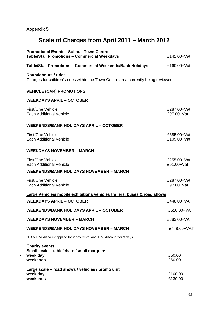## **Scale of Charges from April 2011 – March 2012**

|   | <b>Promotional Events - Solihull Town Centre</b><br><b>Table/Stall Promotions - Commercial Weekdays</b>  | £141.00+Vat                |
|---|----------------------------------------------------------------------------------------------------------|----------------------------|
|   | <b>Table/Stall Promotions - Commercial Weekends/Bank Holidays</b>                                        | £160.00+Vat                |
|   | Roundabouts / rides<br>Charges for children's rides within the Town Centre area currently being reviewed |                            |
|   | <u>VEHICLE (CAR) PROMOTIONS</u>                                                                          |                            |
|   | <b>WEEKDAYS APRIL - OCTOBER</b>                                                                          |                            |
|   | First/One Vehicle<br><b>Each Additional Vehicle</b>                                                      | £287.00+Vat<br>£97.00+Vat  |
|   | <b>WEEKENDS/BANK HOLIDAYS APRIL - OCTOBER</b>                                                            |                            |
|   | First/One Vehicle<br><b>Each Additional Vehicle</b>                                                      | £385.00+Vat<br>£109.00+Vat |
|   | <b>WEEKDAYS NOVEMBER - MARCH</b>                                                                         |                            |
|   | First/One Vehicle<br><b>Each Additional Vehicle</b>                                                      | £255.00+Vat<br>£91.00+Vat  |
|   | <b>WEEKENDS/BANK HOLIDAYS NOVEMBER - MARCH</b>                                                           |                            |
|   | First/One Vehicle<br><b>Each Additional Vehicle</b>                                                      | £287.00+Vat<br>£97.00+Vat  |
|   | <b>Large Vehicles/ mobile exhibitions vehicles trailers, buses &amp; road shows</b>                      |                            |
|   | <b>WEEKDAYS APRIL - OCTOBER</b>                                                                          | £448.00+VAT                |
|   | <b>WEEKENDS/BANK HOLIDAYS APRIL - OCTOBER</b>                                                            | £510.00+VAT                |
|   | <b>WEEKDAYS NOVEMBER - MARCH</b>                                                                         | £383.00+VAT                |
|   | <b>WEEKENDS/BANK HOLIDAYS NOVEMBER - MARCH</b>                                                           | £448.00+VAT                |
|   | N.B a 10% discount applied for 2 day rental and 15% discount for 3 days+                                 |                            |
| - | <b>Charity events</b><br>Small scale - table/chairs/small marquee<br>week day<br>weekends                | £50.00<br>£60.00           |
|   | Large scale - road shows / vehicles / promo unit<br>week day<br>weekends                                 | £100.00<br>£130.00         |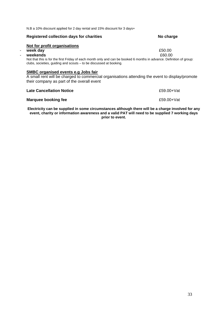N.B a 10% discount applied for 2 day rental and 15% discount for 3 days+

#### **Registered collection days for charities <br>
No charge 1999**

#### **Not for profit organisations**

#### - **week day** £50.00

#### - **weekends** £60.00

Not that this is for the first Friday of each month only and can be booked 6 months in advance. Definition of group: clubs, societies, guiding and scouts – to be discussed at booking.

#### **SMBC organised events e.g Jobs fair**

A small rent will be charged to commercial organisations attending the event to display/promote their company as part of the overall event

#### **Late Cancellation Notice** <br> **E59.00+Vat**

#### **Marquee booking fee** <br> **E59.00+Vat**

**Electricity can be supplied in some circumstances although there will be a charge involved for any event, charity or information awareness and a valid PAT will need to be supplied 7 working days prior to event.**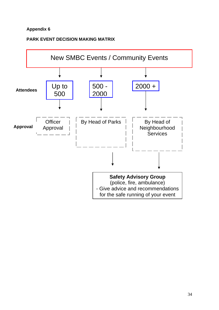#### **PARK EVENT DECISION MAKING MATRIX**

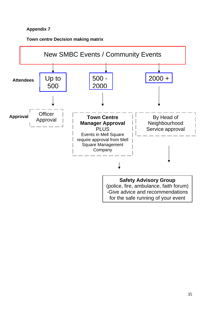**Town centre Decision making matrix** 

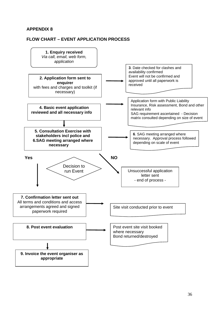#### **APPENDIX 8**

#### **FLOW CHART – EVENT APPLICATION PROCESS**

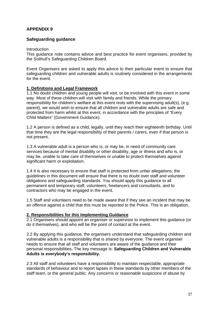#### **APPENDIX 9**

#### **Safeguarding guidance**

#### Introduction

This guidance note contains advice and best practice for event organisers, provided by the Solihull's Safeguarding Children Board.

Event Organisers are asked to apply this advice to their particular event to ensure that safeguarding children and vulnerable adults is routinely considered in the arrangements for the event.

#### **1. Definitions and Legal Framework**

1.1 No doubt children and young people will visit, or be involved with this event in some way. Most of these children will visit with family and friends. While the primary responsibility for children's welfare at this event rests with the supervising adult(s), (e.g. parent), we would wish to ensure that all children and vulnerable adults are safe and protected from harm whilst at this event, in accordance with the principles of "Every Child Matters" (Government Guidance).

1.2 A person is defined as a child, legally, until they reach their eighteenth birthday. Until that time they are the legal responsibility of their parents / carers, even if that person is not present.

1.3 A vulnerable adult is a person who is, or may be, in need of community care services because of mental disability or other disability, age or illness and who is, or may be, unable to take care of themselves or unable to protect themselves against significant harm or exploitation.

1.4 It is also necessary to ensure that staff is protected from unfair allegations; the guidelines in this document will ensure that there is no doubt over staff and volunteer obligations and safeguarding standards. You should apply this guidance to all permanent and temporary staff, volunteers, freelancers and consultants, and to contractors who may be engaged in the event.

1.5 Staff and volunteers need to be made aware that if they see an incident that may be an offence against a child that this must be reported to the Police. This is an obligation.

#### **2. Responsibilities for this Implementing Guidance**

2.1 Organisers should appoint an organiser or supervisor to implement this guidance (or do it themselves), and who will be the point of contact at the event.

2.2 By applying this guidance, the organisers understand that safeguarding children and vulnerable adults is a responsibility that is shared by everyone. The event organiser needs to ensure that all staff and volunteers are aware of the guidance and their personal responsibilities. The key message is: **Safeguarding Children and Vulnerable Adults is everybody's responsibility.** 

2.3 All staff and volunteers have a responsibility to maintain respectable, appropriate standards of behaviour and to report lapses in these standards by other members of the staff team, or the general public. Any concerns or reasonable suspicions of abuse by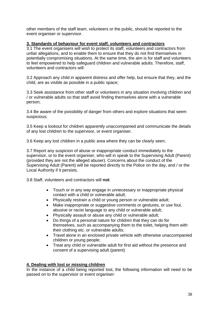other members of the staff team, volunteers or the public, should be reported to the event organiser or supervisor.

#### **3. Standards of behaviour for event staff, volunteers and contractors**

3.1 The event organisers will wish to protect its staff, volunteers and contractors from unfair allegations, and to enable them to ensure that they do not find themselves in potentially compromising situations. At the same time, the aim is for staff and volunteers to feel empowered to help safeguard children and vulnerable adults. Therefore, staff, volunteers and contractors will:

3.2 Approach any child in apparent distress and offer help, but ensure that they, and the child, are as visible as possible in a public space;

3.3 Seek assistance from other staff or volunteers in any situation involving children and / or vulnerable adults so that staff avoid finding themselves alone with a vulnerable person;

3.4 Be aware of the possibility of danger from others and explore situations that seem suspicious;

3.5 Keep a lookout for children apparently unaccompanied and communicate the details of any lost children to the supervisor, or event organiser.

3.6 Keep any lost children in a public area where they can be clearly seen;

3.7 Report any suspicion of abuse or inappropriate conduct immediately to the supervisor, or to the event organiser, who will in speak to the Supervising Adult (Parent) (provided they are not the alleged abuser). Concerns about the conduct of the Supervising Adult (Parent) will be reported directly to the Police on the day, and / or the Local Authority if it persists.

3.8 Staff, volunteers and contractors will **not**:

- Touch or in any way engage in unnecessary or inappropriate physical contact with a child or vulnerable adult;
- Physically restrain a child or young person or vulnerable adult;
- Make inappropriate or suggestive comments or gestures, or use foul, abusive or racist language to any child or vulnerable adult;
- Physically assault or abuse any child or vulnerable adult;
- Do things of a personal nature for children that they can do for themselves, such as accompanying them to the toilet, helping them with their clothing etc. or vulnerable adults;
- Travel alone in an enclosed private vehicle with otherwise unaccompanied children or young people;
- Treat any child or vulnerable adult for first aid without the presence and consent of a supervising adult (parent)

#### **4. Dealing with lost or missing children**

In the instance of a child being reported lost, the following information will need to be passed on to the supervisor or event organiser: